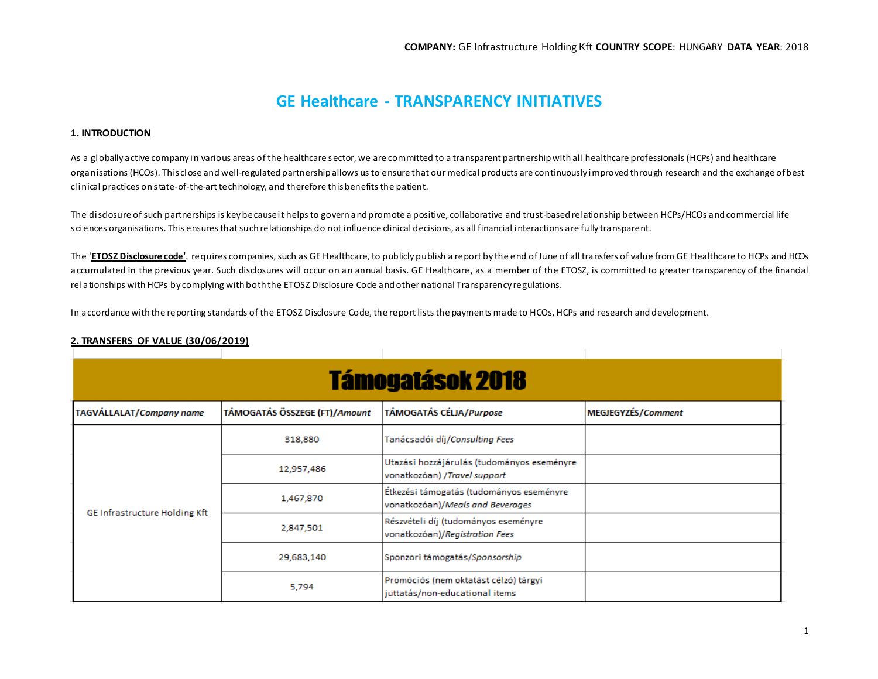# **GE Healthcare - TRANSPARENCY INITIATIVES**

### **1. INTRODUCTION**

As a globally active company in various areas of the healthcare sector, we are committed to a transparent partnership with al l healthcare professionals (HCPs) and healthcare organisations (HCOs). This close and well-regulated partnership allows us to ensure that our medical products are continuously improved through research and the exchange of best clinical practices on state-of-the-art technology, and therefore this benefits the patient.

The disdosure of such partnerships is key because it helps to govern and promote a positive, collaborative and trust-based relationship between HCPs/HCOs and commercial life sciences organisations. This ensures that such relationships do not influence clinical decisions, as all financial interactions are fully transparent.

The '**ETOSZ [Disclosure code](http://transparency.efpia.eu/the-efpia-code-2)'**, requires companies, such as GE Healthcare, to publicly publish a report by the end of June of all transfers of value from GE Healthcare to HCPs and HCOs accumulated in the previous year. Such disclosures will occur on an annual basis. GE Healthcare, as a member of the ETOSZ, is committed to greater transparency of the financial relationships with HCPs by complying with both the ETOSZ Disclosure Code and other national Transparency regulations.

In accordance with the reporting standards of the ETOSZ Disclosure Code, the report lists the payments made to HCOs, HCPs and research and development.

|                                      |                               | <b>Támogatások 2018</b>                                                      |                    |
|--------------------------------------|-------------------------------|------------------------------------------------------------------------------|--------------------|
|                                      |                               |                                                                              |                    |
| <b>TAGVÁLLALAT/Company name</b>      | TÁMOGATÁS ÖSSZEGE (FT)/Amount | <b>TÁMOGATÁS CÉLJA/Purpose</b>                                               | MEGJEGYZÉS/Comment |
| <b>GE Infrastructure Holding Kft</b> | 318,880                       | Tanácsadói díj/Consulting Fees                                               |                    |
|                                      | 12,957,486                    | Utazási hozzájárulás (tudományos eseményre<br>vonatkozóan) /Travel support   |                    |
|                                      | 1,467,870                     | Étkezési támogatás (tudományos eseményre<br>vonatkozóan)/Meals and Beverages |                    |
|                                      | 2,847,501                     | Részvételi díj (tudományos eseményre<br>vonatkozóan)/Registration Fees       |                    |
|                                      | 29,683,140                    | Sponzori támogatás/Sponsorship                                               |                    |
|                                      | 5,794                         | Promóciós (nem oktatást célzó) tárgyi<br>juttatás/non-educational items      |                    |

# **2. TRANSFERS OF VALUE (30/06/2019)**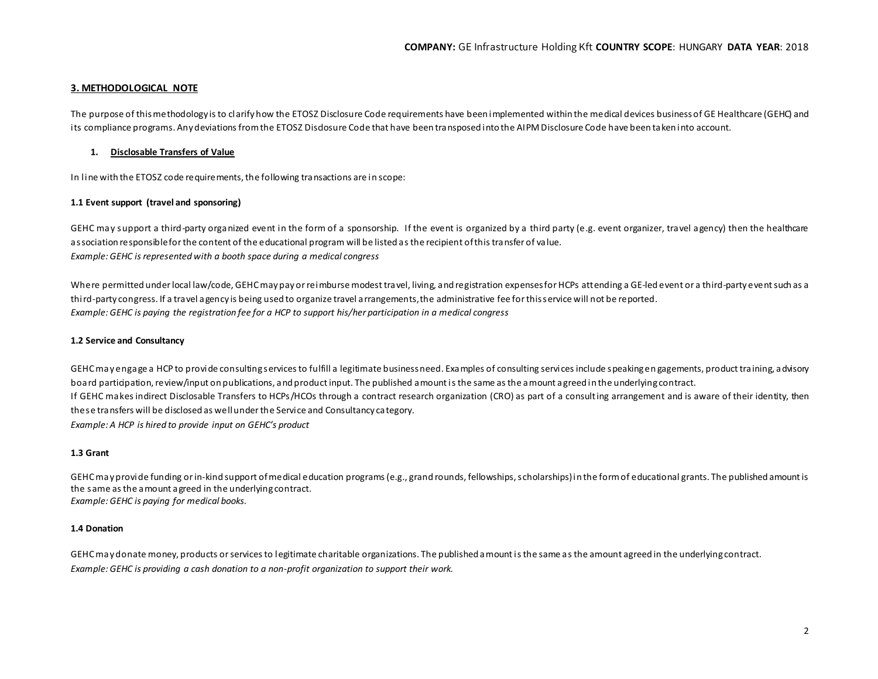#### **3. METHODOLOGICAL NOTE**

The purpose of this methodology is to clarify how the ETOSZ Disclosure Code requirements have been implemented within the medical devices businessof GE Healthcare (GEHC) and its compliance programs. Any deviations from the ETOSZ Disdosure Code that have been transposed into the AIPM Disclosure Code have been taken into account.

#### **1. Disclosable Transfers of Value**

In line with the ETOSZ code requirements, the following transactions are in scope:

#### **1.1 Event support (travel and sponsoring)**

GEHC may support a third-party organized event in the form of a sponsorship. If the event is organized by a third party (e.g. event organizer, travel agency) then the healthcare association responsible for the content of the educational program will be listed as the recipient of this transfer of value. *Example: GEHC is represented with a booth space during a medical congress*

Where permitted under local law/code, GEHC may pay or reimburse modest travel, living, and registration expenses for HCPs attending a GE-led event or a third-party event such as a third-party congress. If a travel agency is being used to organize travel arrangements, the administrative fee for this service will not be reported. *Example: GEHC is paying the registration fee for a HCP to support his/her participation in a medical congress*

#### **1.2 Service and Consultancy**

GEHC may engage a HCP to provide consulting services to fulfill a legitimate business need. Examples of consulting services include speaking en gagements, product training, advisory board participation, review/input on publications, and product input. The published amount is the same as the amount agreed in the underlying contract. If GEHC makes indirect Disclosable Transfers to HCPs/HCOs through a contract research organization (CRO) as part of a consulting arrangement and is aware of their identity, then these transfers will be disclosed as well under the Service and Consultancy category. *Example: A HCP is hired to provide input on GEHC's product*

#### **1.3 Grant**

GEHC may provide funding or in-kind support of medical education programs (e.g., grand rounds, fellowships, scholarships) in the form of educational grants. The published amount is the same as the amount agreed in the underlying contract. *Example: GEHC is paying for medical books.*

#### **1.4 Donation**

GEHC may donate money, products or services to legitimate charitable organizations. The published amount is the same as the amount agreed in the underlying contract. *Example: GEHC is providing a cash donation to a non-profit organization to support their work.*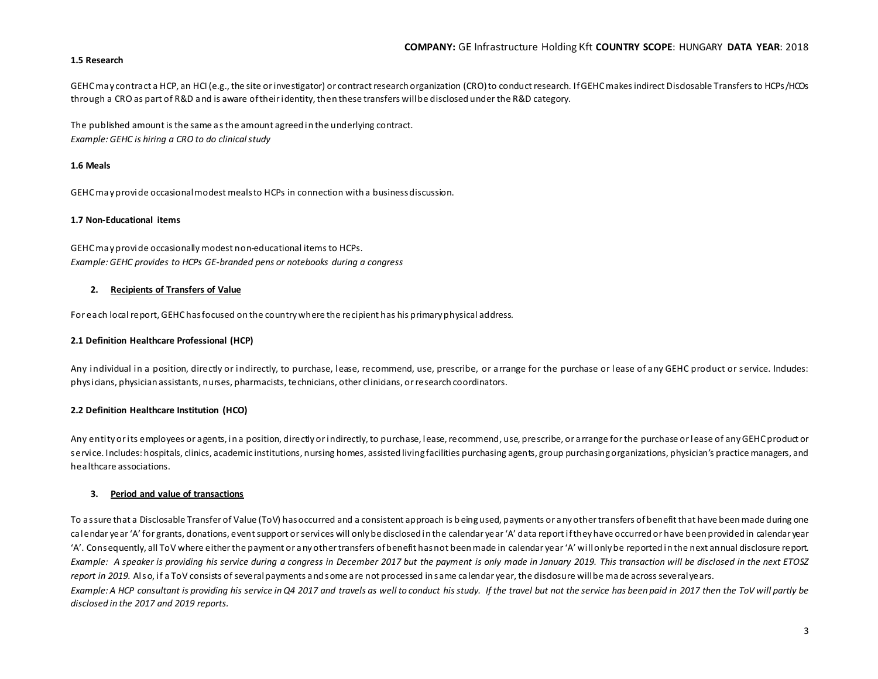#### **1.5 Research**

GEHC may contract a HCP, an HCI (e.g., the site or investigator) or contract research organization (CRO) to conduct research. If GEHC makes indirect Disdosable Transfers to HCPs/HCOs through a CRO as part of R&D and is aware of their identity, then these transfers will be disclosed under the R&D category.

The published amount is the same as the amount agreed in the underlying contract. *Example: GEHC is hiring a CRO to do clinical study*

#### **1.6 Meals**

GEHC may provide occasional modest meals to HCPs in connection with a business discussion.

#### **1.7 Non-Educational items**

GEHC may provide occasionally modest non-educational items to HCPs. *Example: GEHC provides to HCPs GE-branded pens or notebooks during a congress*

#### **2. Recipients of Transfers of Value**

For each local report, GEHC has focused on the country where the recipient has his primary physical address.

#### **2.1 Definition Healthcare Professional (HCP)**

Any individual in a position, directly or indirectly, to purchase, lease, recommend, use, prescribe, or arrange for the purchase or lease of any GEHC product or service. Indudes: physicians, physician assistants, nurses, pharmacists, technicians, other clinicians, or research coordinators.

#### **2.2 Definition Healthcare Institution (HCO)**

Any entity or its employees or agents, in a position, directly or indirectly, to purchase, lease, recommend, use, prescribe, or arrange for the purchase or lease of any GEHC product or service. Includes: hospitals, clinics, academic institutions, nursing homes, assisted living facilities purchasing agents, group purchasing organizations, physician's practice managers, and healthcare associations.

#### **3. Period and value of transactions**

To assure that a Disclosable Transfer of Value (ToV) has occurred and a consistent approach is being used, payments or any other transfers of benefit that have been made during one calendar year 'A' for grants, donations, event support or services will only be disclosed in the calendar year 'A' data report if they have occurred or have been provided in calendar year 'A'. Consequently, all ToV where either the payment or any other transfers of benefit has not been made in calendar year 'A' will only be reported in the next annual disclosure report. *Example: A speaker is providing his service during a congress in December 2017 but the payment is only made in January 2019. This transaction will be disclosed in the next ETOSZ* report in 2019. Also, if a ToV consists of several payments and some are not processed in same calendar year, the disdosure will be made across several years. *Example: A HCP consultant is providing his service in Q4 2017 and travels as well to conduct his study. If the travel but not the service has been paid in 2017 then the ToV will partly be disclosed in the 2017 and 2019 reports.*